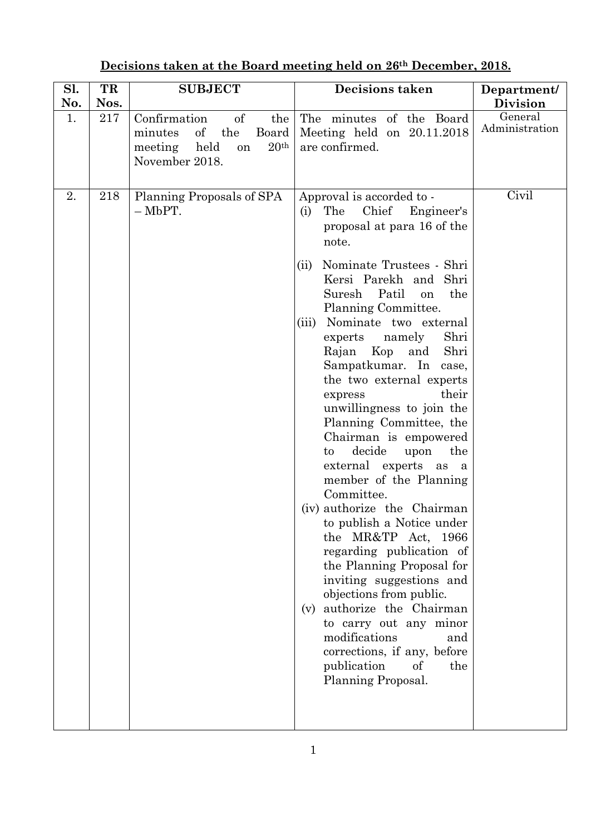| Sl. | TR   | <b>SUBJECT</b>                                                                                                            | <b>Decisions taken</b>                                                                                                                                                                                                                                                                                                                                                                                                                                                                                                                                                                                                                                                                                                                                                                                                                                                                                                                                        | Department/               |
|-----|------|---------------------------------------------------------------------------------------------------------------------------|---------------------------------------------------------------------------------------------------------------------------------------------------------------------------------------------------------------------------------------------------------------------------------------------------------------------------------------------------------------------------------------------------------------------------------------------------------------------------------------------------------------------------------------------------------------------------------------------------------------------------------------------------------------------------------------------------------------------------------------------------------------------------------------------------------------------------------------------------------------------------------------------------------------------------------------------------------------|---------------------------|
| No. | Nos. |                                                                                                                           |                                                                                                                                                                                                                                                                                                                                                                                                                                                                                                                                                                                                                                                                                                                                                                                                                                                                                                                                                               | Division                  |
| 1.  | 217  | of<br>Confirmation<br>the<br>minutes<br>of<br>the<br>Board<br>20 <sup>th</sup><br>meeting<br>held<br>on<br>November 2018. | The minutes of the Board<br>Meeting held on $20.11.2018$<br>are confirmed.                                                                                                                                                                                                                                                                                                                                                                                                                                                                                                                                                                                                                                                                                                                                                                                                                                                                                    | General<br>Administration |
| 2.  | 218  | Planning Proposals of SPA<br>$-MbPT.$                                                                                     | Approval is accorded to -<br>Chief<br>The<br>Engineer's<br>(i)<br>proposal at para 16 of the<br>note.<br>Nominate Trustees - Shri<br>(ii)<br>Kersi Parekh and Shri<br>Patil<br>Suresh<br>the<br>on<br>Planning Committee.<br>Nominate two external<br>(iii)<br>experts namely<br>Shri<br>Rajan Kop<br>Shri<br>and<br>Sampatkumar. In case,<br>the two external experts<br>their<br>express<br>unwillingness to join the<br>Planning Committee, the<br>Chairman is empowered<br>decide<br>the<br>$\mathsf{to}$<br>upon<br>external experts as a<br>member of the Planning<br>Committee.<br>(iv) authorize the Chairman<br>to publish a Notice under<br>the MR&TP Act,<br>1966<br>regarding publication of<br>the Planning Proposal for<br>inviting suggestions and<br>objections from public.<br>(v) authorize the Chairman<br>to carry out any minor<br>modifications<br>and<br>corrections, if any, before<br>publication<br>of<br>the<br>Planning Proposal. | Civil                     |

## **Decisions taken at the Board meeting held on 26th December, 2018.**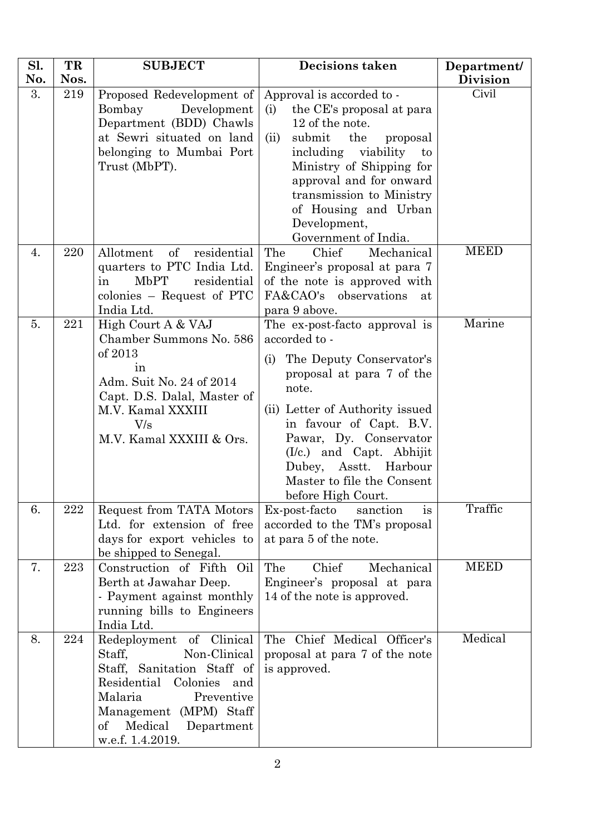| Sl.<br>No. | TR<br>Nos. | <b>SUBJECT</b>                                                   | <b>Decisions taken</b>                                            | Department/<br><b>Division</b> |
|------------|------------|------------------------------------------------------------------|-------------------------------------------------------------------|--------------------------------|
| 3.         | 219        | Proposed Redevelopment of                                        | Approval is accorded to -                                         | Civil                          |
|            |            | Bombay<br>Development                                            | (i)<br>the CE's proposal at para                                  |                                |
|            |            | Department (BDD) Chawls<br>at Sewri situated on land             | 12 of the note.                                                   |                                |
|            |            | belonging to Mumbai Port                                         | submit<br>the<br>proposal<br>(ii)<br>including<br>viability<br>to |                                |
|            |            | Trust (MbPT).                                                    | Ministry of Shipping for                                          |                                |
|            |            |                                                                  | approval and for onward                                           |                                |
|            |            |                                                                  | transmission to Ministry                                          |                                |
|            |            |                                                                  | of Housing and Urban                                              |                                |
|            |            |                                                                  | Development,<br>Government of India.                              |                                |
| 4.         | 220        | Allotment<br>$\sigma f$<br>residential                           | Chief<br>The<br>Mechanical                                        | <b>MEED</b>                    |
|            |            | quarters to PTC India Ltd.                                       | Engineer's proposal at para 7                                     |                                |
|            |            | MbPT<br>residential<br>in                                        | of the note is approved with                                      |                                |
|            |            | colonies – Request of PTC<br>India Ltd.                          | FA&CAO's observations<br>at<br>para 9 above.                      |                                |
| 5.         | 221        | High Court A & VAJ                                               | The ex-post-facto approval is                                     | Marine                         |
|            |            | Chamber Summons No. 586                                          | accorded to -                                                     |                                |
|            |            | of 2013                                                          | The Deputy Conservator's<br>(i)                                   |                                |
|            |            | in                                                               | proposal at para 7 of the                                         |                                |
|            |            | Adm. Suit No. 24 of 2014<br>Capt. D.S. Dalal, Master of          | note.                                                             |                                |
|            |            | M.V. Kamal XXXIII                                                | (ii) Letter of Authority issued                                   |                                |
|            |            | $\rm V/s$                                                        | in favour of Capt. B.V.                                           |                                |
|            |            | M.V. Kamal XXXIII & Ors.                                         | Pawar, Dy. Conservator                                            |                                |
|            |            |                                                                  | $(I/c.)$ and Capt. Abhijit<br>Asstt. Harbour                      |                                |
|            |            |                                                                  | Dubey,<br>Master to file the Consent                              |                                |
|            |            |                                                                  | before High Court.                                                |                                |
| 6.         | 222        | Request from TATA Motors                                         | Ex-post-facto<br>sanction<br>is                                   | Traffic                        |
|            |            | Ltd. for extension of free                                       | accorded to the TM's proposal                                     |                                |
|            |            | days for export vehicles to<br>be shipped to Senegal.            | at para 5 of the note.                                            |                                |
| 7.         | 223        | Construction of Fifth<br>Oil                                     | The<br>Chief<br>Mechanical                                        | <b>MEED</b>                    |
|            |            | Berth at Jawahar Deep.                                           | Engineer's proposal at para                                       |                                |
|            |            | - Payment against monthly                                        | 14 of the note is approved.                                       |                                |
|            |            | running bills to Engineers                                       |                                                                   |                                |
| 8.         | 224        | India Ltd.<br>Redeployment of Clinical                           | The Chief Medical Officer's                                       | Medical                        |
|            |            | Non-Clinical<br>Staff,                                           | proposal at para 7 of the note                                    |                                |
|            |            | Staff, Sanitation Staff of                                       | is approved.                                                      |                                |
|            |            | Residential<br>Colonies and                                      |                                                                   |                                |
|            |            | Malaria<br>Preventive                                            |                                                                   |                                |
|            |            | Management (MPM) Staff<br>Medical<br>$\mathrm{of}$<br>Department |                                                                   |                                |
|            |            | w.e.f. 1.4.2019.                                                 |                                                                   |                                |